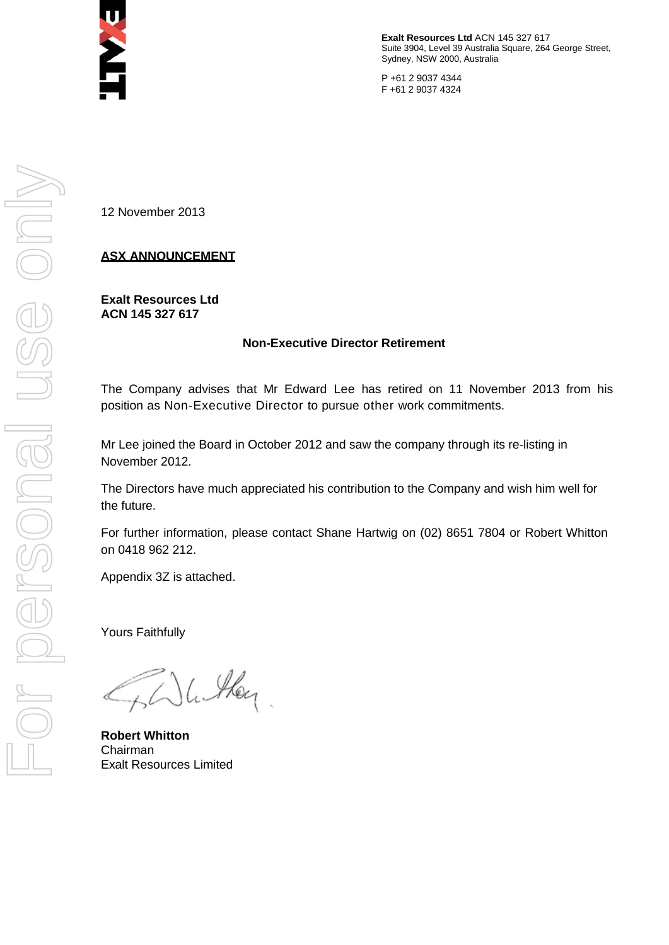

**Exalt Resources Ltd** ACN 145 327 617 Suite 3904, Level 39 Australia Square, 264 George Street, Sydney, NSW 2000, Australia

P +61 2 9037 4344 F +61 2 9037 4324

12 November 2013

## **ASX ANNOUNCEMENT**

**Exalt Resources Ltd ACN 145 327 617**

#### **Non-Executive Director Retirement**

The Company advises that Mr Edward Lee has retired on 11 November 2013 from his position as Non-Executive Director to pursue other work commitments.

Mr Lee joined the Board in October 2012 and saw the company through its re-listing in November 2012.

The Directors have much appreciated his contribution to the Company and wish him well for the future.

For further information, please contact Shane Hartwig on (02) 8651 7804 or Robert Whitton on 0418 962 212.

Appendix 3Z is attached.

Yours Faithfully

Hey

**Robert Whitton** Chairman Exalt Resources Limited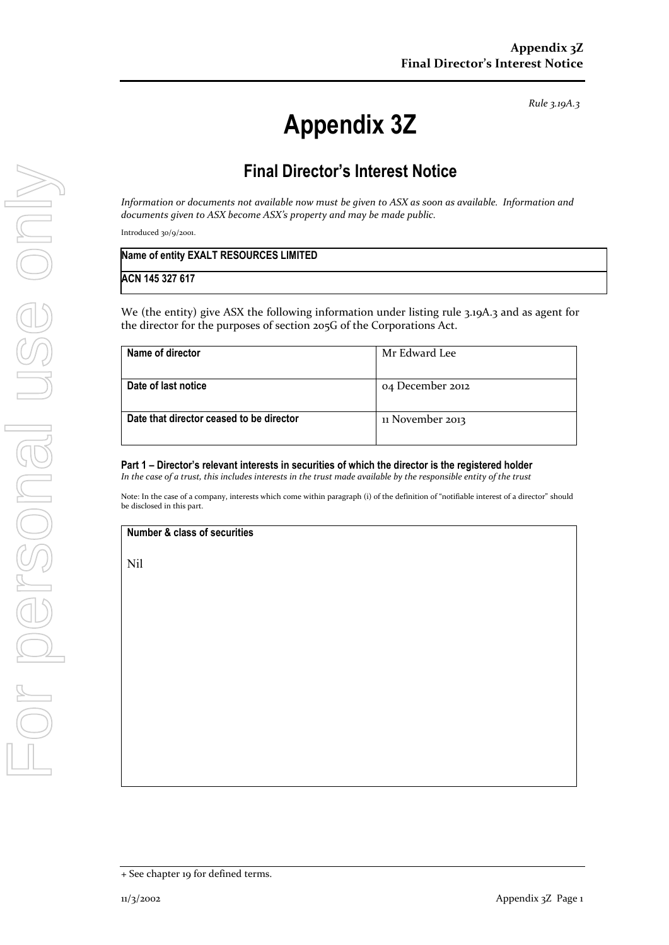*Rule 3.19A.3*

# **Appendix 3Z**

# **Final Director's Interest Notice**

*Information or documents not available now must be given to ASX as soon as available. Information and documents given to ASX become ASX's property and may be made public.*

Introduced 30/9/2001.

| Name of entity EXALT RESOURCES LIMITED |  |
|----------------------------------------|--|
| ACN 145 327 617                        |  |

We (the entity) give ASX the following information under listing rule 3.19A.3 and as agent for the director for the purposes of section 205G of the Corporations Act.

| Name of director                         | Mr Edward Lee    |
|------------------------------------------|------------------|
| Date of last notice                      | 04 December 2012 |
| Date that director ceased to be director | 11 November 2013 |

#### **Part 1 – Director's relevant interests in securities of which the director is the registered holder** *In the case of a trust, this includes interests in the trust made available by the responsible entity of the trust*

Note: In the case of a company, interests which come within paragraph (i) of the definition of "notifiable interest of a director" should be disclosed in this part.

#### **Number & class of securities**

Nil

<sup>+</sup> See chapter 19 for defined terms.